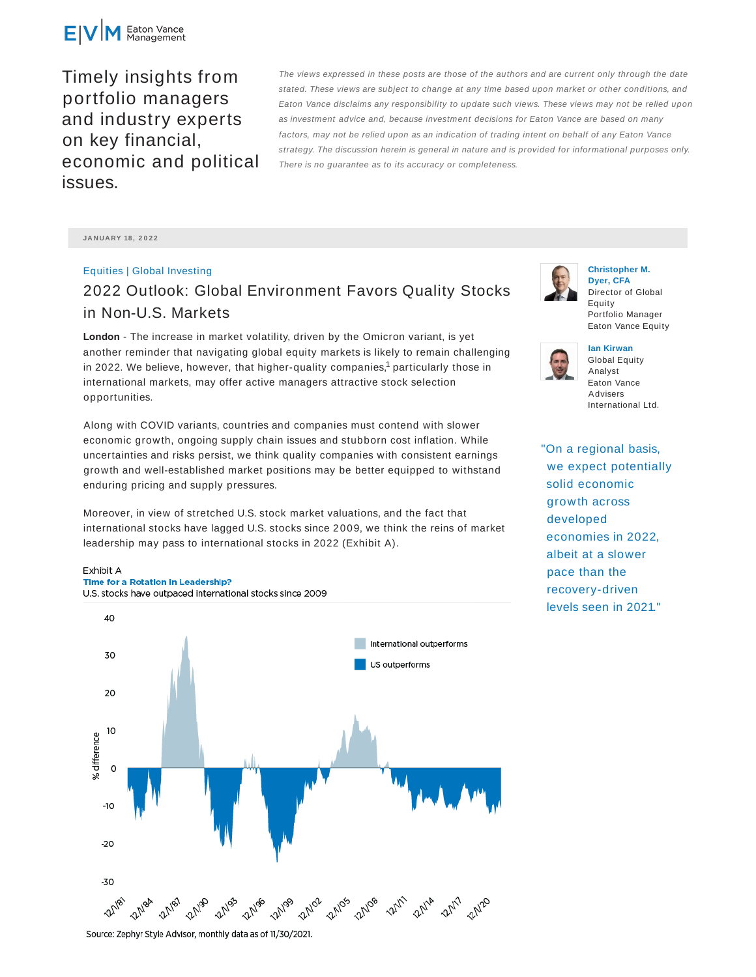

Timely insights from portfolio managers and industry experts on key financial, economic and political issues.

The views expressed in these posts are those of the authors and are current only through the date stated. These views are subject to change at any time based upon market or other conditions, and Eaton Vance disclaims any responsibility to update such views. These views may not be relied upon as investment advice and, because investment decisions for Eaton Vance are based on many factors, may not be relied upon as an indication of trading intent on behalf of any Eaton Vance strategy. The discussion herein is general in nature and is provided for informational purposes only. There is no guarantee as to its accuracy or completeness.

**JA N UA RY 18 , 2 0 2 2**

# Equities | Global Investing 2022 Outlook: Global Environment Favors Quality Stocks in Non-U.S. Markets

**London** - The increase in market volatility, driven by the Omicron variant, is yet another reminder that navigating global equity markets is likely to remain challenging in 2022. We believe, however, that higher-quality companies, $^1$  particularly those in international markets, may offer active managers attractive stock selection opportunities.

Along with COVID variants, countries and companies must contend with slower economic growth, ongoing supply chain issues and stubborn cost inflation. While uncertainties and risks persist, we think quality companies with consistent earnings growth and well-established market positions may be better equipped to withstand enduring pricing and supply pressures.

Moreover, in view of stretched U.S. stock market valuations, and the fact that international stocks have lagged U.S. stocks since 2009, we think the reins of market leadership may pass to international stocks in 2022 (Exhibit A).

### Exhibit A Time for a Rotation in Leadership?

U.S. stocks have outpaced international stocks since 2009





**Christopher M. Dyer, CFA** Director of Global Equity Portfolio Manager Eaton Vance Equity



**Ian Kirwan** Global Equity Analyst Eaton Vance Advisers International Ltd.

"On a regional basis, we expect potentially solid economic growth across developed economies in 2022, albeit at a slower pace than the recovery-driven levels seen in 2021."

Source: Zephyr Style Advisor, monthly data as of 11/30/2021.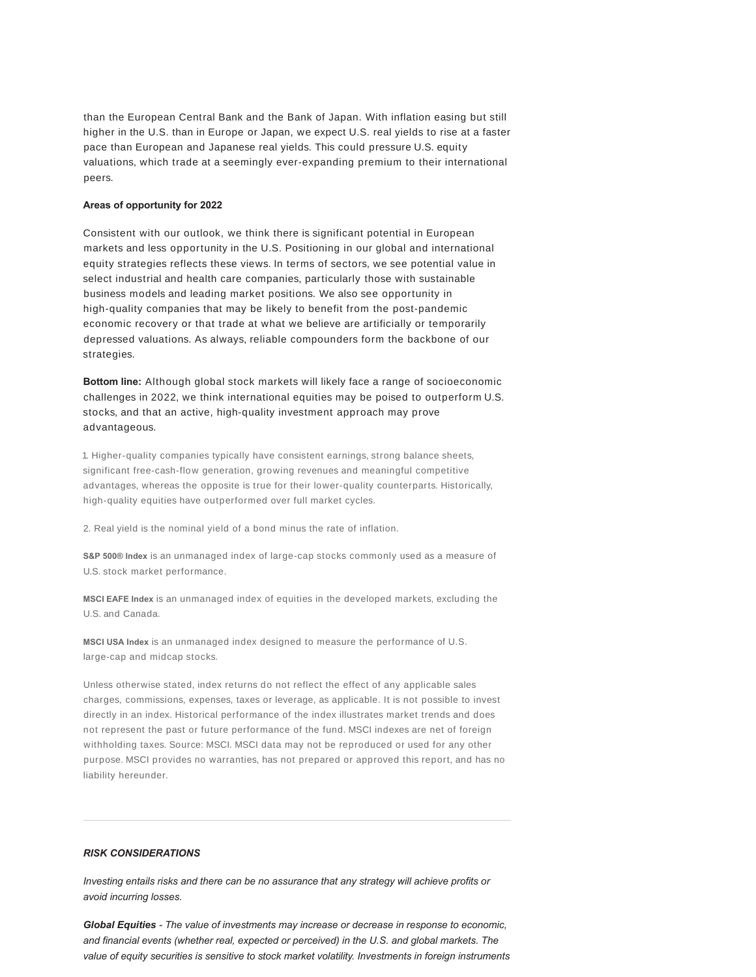than the European Central Bank and the Bank of Japan. With inflation easing but still higher in the U.S. than in Europe or Japan, we expect U.S. real yields to rise at a faster pace than European and Japanese real yields. This could pressure U.S. equity valuations, which trade at a seemingly ever-expanding premium to their international peers.

### **Areas of opportunity for 2022**

Consistent with our outlook, we think there is significant potential in European markets and less opportunity in the U.S. Positioning in our global and international equity strategies reflects these views. In terms of sectors, we see potential value in select industrial and health care companies, particularly those with sustainable business models and leading market positions. We also see opportunity in high-quality companies that may be likely to benefit from the post-pandemic economic recovery or that trade at what we believe are artificially or temporarily depressed valuations. As always, reliable compounders form the backbone of our strategies.

**Bottom line:** Although global stock markets will likely face a range of socioeconomic challenges in 2022, we think international equities may be poised to outperform U.S. stocks, and that an active, high-quality investment approach may prove advantageous.

1. Higher-quality companies typically have consistent earnings, strong balance sheets, significant free-cash-flow generation, growing revenues and meaningful competitive advantages, whereas the opposite is true for their lower-quality counterparts. Historically, high-quality equities have outperformed over full market cycles.

2. Real yield is the nominal yield of a bond minus the rate of inflation.

**S&P 500® Index** is an unmanaged index of large-cap stocks commonly used as a measure of U.S. stock market performance.

**MSCI EAFE Index** is an unmanaged index of equities in the developed markets, excluding the U.S. and Canada.

**MSCI USA Index** is an unmanaged index designed to measure the performance of U.S. large-cap and midcap stocks.

Unless otherwise stated, index returns do not reflect the effect of any applicable sales charges, commissions, expenses, taxes or leverage, as applicable. It is not possible to invest directly in an index. Historical performance of the index illustrates market trends and does not represent the past or future performance of the fund. MSCI indexes are net of foreign withholding taxes. Source: MSCI. MSCI data may not be reproduced or used for any other purpose. MSCI provides no warranties, has not prepared or approved this report, and has no liability hereunder.

## *RISK CONSIDERATIONS*

*Investing entails risks and there can be no assurance that any strategy will achieve profits or avoid incurring losses.*

*Global Equities - The value of investments may increase or decrease in response to economic, and financial events (whether real, expected or perceived) in the U.S. and global markets. The value of equity securities is sensitive to stock market volatility. Investments in foreign instruments*